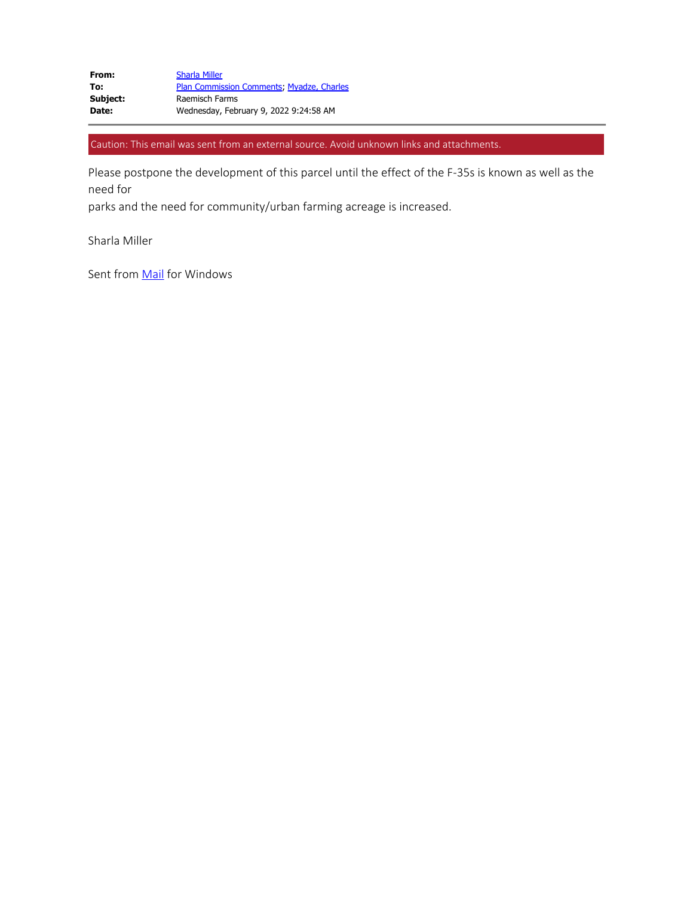Caution: This email was sent from an external source. Avoid unknown links and attachments.

Please postpone the development of this parcel until the effect of the F-35s is known as well as the need for

parks and the need for community/urban farming acreage is increased.

Sharla Miller

Sent from **Mail** for Windows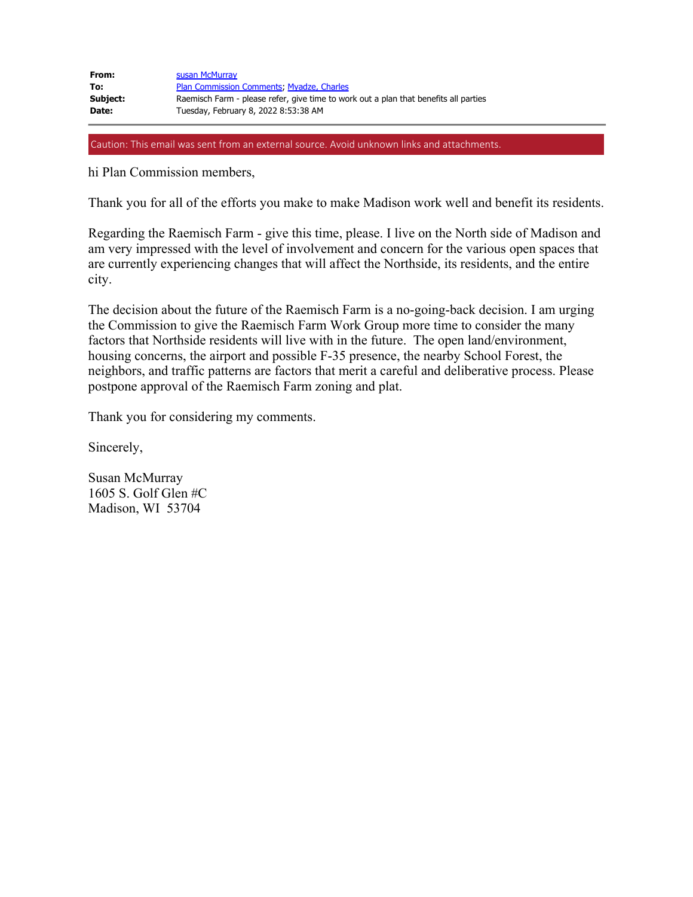| From:    | susan McMurray                                                                       |
|----------|--------------------------------------------------------------------------------------|
| To:      | <b>Plan Commission Comments: Myadze, Charles</b>                                     |
| Subject: | Raemisch Farm - please refer, give time to work out a plan that benefits all parties |
| Date:    | Tuesday, February 8, 2022 8:53:38 AM                                                 |

Caution: This email was sent from an external source. Avoid unknown links and attachments.

hi Plan Commission members,

Thank you for all of the efforts you make to make Madison work well and benefit its residents.

Regarding the Raemisch Farm - give this time, please. I live on the North side of Madison and am very impressed with the level of involvement and concern for the various open spaces that are currently experiencing changes that will affect the Northside, its residents, and the entire city.

The decision about the future of the Raemisch Farm is a no-going-back decision. I am urging the Commission to give the Raemisch Farm Work Group more time to consider the many factors that Northside residents will live with in the future. The open land/environment, housing concerns, the airport and possible F-35 presence, the nearby School Forest, the neighbors, and traffic patterns are factors that merit a careful and deliberative process. Please postpone approval of the Raemisch Farm zoning and plat.

Thank you for considering my comments.

Sincerely,

Susan McMurray 1605 S. Golf Glen #C Madison, WI 53704